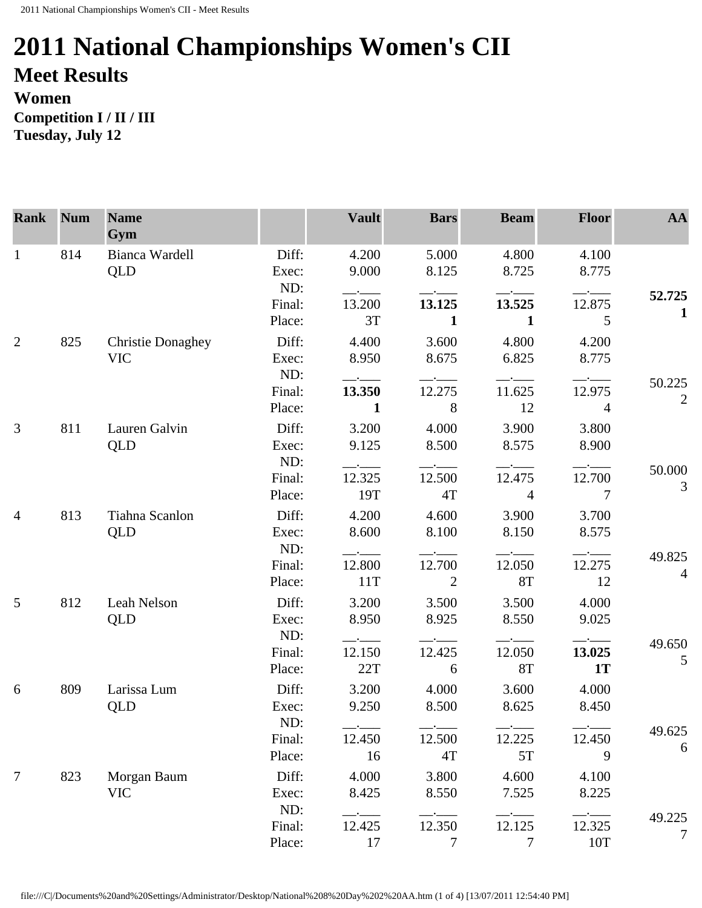## **2011 National Championships Women's CII Meet Results Women**

**Competition I / II / III Tuesday, July 12** 

| <b>Rank</b>     | <b>Num</b> | <b>Name</b><br>Gym                     |                         | <b>Vault</b>                   | <b>Bars</b>              | <b>Beam</b>              | <b>Floor</b>             | AA                       |
|-----------------|------------|----------------------------------------|-------------------------|--------------------------------|--------------------------|--------------------------|--------------------------|--------------------------|
| $\mathbf{1}$    | 814        | Bianca Wardell<br><b>QLD</b>           | Diff:<br>Exec:<br>ND:   | 4.200<br>9.000                 | 5.000<br>8.125           | 4.800<br>8.725           | 4.100<br>8.775           |                          |
|                 |            |                                        | Final:                  | $ -$<br>13.200                 | 13.125                   | 13.525                   | 12.875                   | 52.725                   |
|                 |            |                                        | Place:                  | 3T                             | $\mathbf{1}$             | 1                        | 5                        | $\mathbf{1}$             |
| 2               | 825        | <b>Christie Donaghey</b><br><b>VIC</b> | Diff:<br>Exec:          | 4.400<br>8.950                 | 3.600<br>8.675           | 4.800<br>6.825           | 4.200<br>8.775           |                          |
|                 |            |                                        | ND:<br>Final:<br>Place: | $ -$<br>13.350<br>$\mathbf{1}$ | 12.275<br>8              | 11.625<br>12             | 12.975<br>$\overline{4}$ | 50.225<br>$\mathfrak{2}$ |
| 3               | 811        | Lauren Galvin<br>QLD                   | Diff:<br>Exec:          | 3.200<br>9.125                 | 4.000<br>8.500           | 3.900<br>8.575           | 3.800<br>8.900           |                          |
|                 |            |                                        | ND:<br>Final:<br>Place: | 12.325<br>19T                  | 12.500<br>4T             | 12.475<br>$\overline{4}$ | 12.700<br>$\overline{7}$ | 50.000<br>3              |
| $\overline{4}$  | 813        | Tiahna Scanlon<br>QLD                  | Diff:<br>Exec:<br>ND:   | 4.200<br>8.600                 | 4.600<br>8.100           | 3.900<br>8.150           | 3.700<br>8.575           |                          |
|                 |            |                                        | Final:<br>Place:        | 12.800<br>11T                  | 12.700<br>2              | 12.050<br><b>8T</b>      | $ -$<br>12.275<br>- 12   | 49.825<br>$\overline{4}$ |
| $5\overline{)}$ | 812        | Leah Nelson<br><b>QLD</b>              | Diff:<br>Exec:<br>ND:   | 3.200<br>8.950                 | 3.500<br>8.925           | 3.500<br>8.550           | 4.000<br>9.025           |                          |
|                 |            |                                        | Final:<br>Place:        | 12.150<br>22T                  | 12.425<br>6              | 12.050<br><b>8T</b>      | 13.025<br><b>1T</b>      | 49.650<br>5              |
| 6               | 809        | Larissa Lum<br><b>QLD</b>              | Diff:<br>Exec:<br>ND:   | 3.200<br>9.250                 | 4.000<br>8.500           | 3.600<br>8.625           | 4.000<br>8.450           |                          |
|                 |            |                                        | Final:<br>Place:        | 12.450<br>16                   | 12.500<br>4T             | 12.225<br>5T             | 12.450<br>9              | 49.625<br>6              |
| $\overline{7}$  | 823        | Morgan Baum<br><b>VIC</b>              | Diff:<br>Exec:<br>ND:   | 4.000<br>8.425                 | 3.800<br>8.550           | 4.600<br>7.525           | 4.100<br>8.225           |                          |
|                 |            |                                        | Final:<br>Place:        | 12.425<br>17                   | 12.350<br>$\overline{7}$ | 12.125<br>7              | 12.325<br>$10T$          | 49.225<br>7              |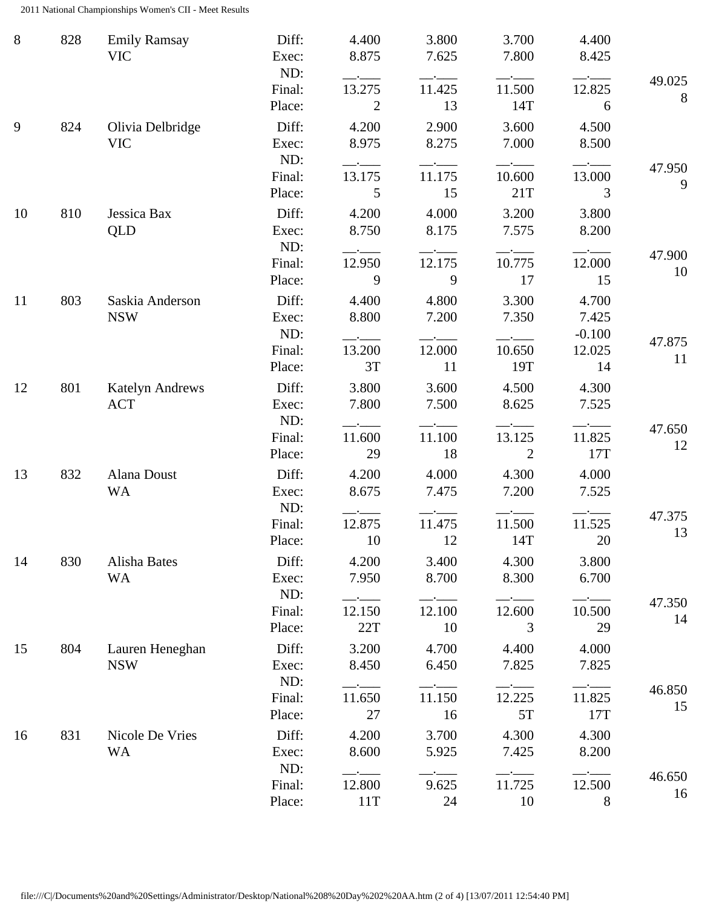2011 National Championships Women's CII - Meet Results

| 8  | 828 | <b>Emily Ramsay</b><br><b>VIC</b> | Diff:<br>Exec:<br>ND:   | 4.400<br>8.875                                                       | 3.800<br>7.625 | 3.700<br>7.800           | 4.400<br>8.425             |              |
|----|-----|-----------------------------------|-------------------------|----------------------------------------------------------------------|----------------|--------------------------|----------------------------|--------------|
|    |     |                                   | Final:<br>Place:        | 13.275<br>2                                                          | 11.425<br>13   | 11.500<br>14T            | 12.825<br>6                | 49.025<br>8  |
| 9  | 824 | Olivia Delbridge<br><b>VIC</b>    | Diff:<br>Exec:          | 4.200<br>8.975                                                       | 2.900<br>8.275 | 3.600<br>7.000           | 4.500<br>8.500             |              |
|    |     |                                   | ND:<br>Final:<br>Place: | $-$ - $-$ - $-$<br>13.175<br>5                                       | 11.175<br>15   | 10.600<br>21T            | 13.000<br>3                | 47.950<br>9  |
| 10 | 810 | Jessica Bax<br><b>QLD</b>         | Diff:<br>Exec:<br>ND:   | 4.200<br>8.750                                                       | 4.000<br>8.175 | 3.200<br>7.575           | 3.800<br>8.200             |              |
|    |     |                                   | Final:<br>Place:        | 12.950<br>9                                                          | 12.175<br>9    | 10.775<br>17             | 12.000<br>15               | 47.900<br>10 |
| 11 | 803 | Saskia Anderson<br><b>NSW</b>     | Diff:<br>Exec:<br>ND:   | 4.400<br>8.800                                                       | 4.800<br>7.200 | 3.300<br>7.350           | 4.700<br>7.425<br>$-0.100$ | 47.875       |
|    |     |                                   | Final:<br>Place:        | 13.200<br>3T                                                         | 12.000<br>11   | 10.650<br>19T            | 12.025<br>14               | 11           |
| 12 | 801 | <b>Katelyn Andrews</b><br>ACT     | Diff:<br>Exec:<br>ND:   | 3.800<br>7.800                                                       | 3.600<br>7.500 | 4.500<br>8.625           | 4.300<br>7.525             |              |
|    |     |                                   | Final:<br>Place:        | 11.600<br>29                                                         | 11.100<br>18   | 13.125<br>$\overline{2}$ | 11.825<br>17T              | 47.650<br>12 |
| 13 | 832 | Alana Doust<br><b>WA</b>          | Diff:<br>Exec:<br>ND:   | 4.200<br>8.675                                                       | 4.000<br>7.475 | 4.300<br>7.200           | 4.000<br>7.525             |              |
|    |     |                                   | Final:<br>Place:        | 12.875<br>10                                                         | 11.475<br>12   | 11.500<br>14T            | 11.525<br>20               | 47.375<br>13 |
| 14 | 830 | Alisha Bates<br><b>WA</b>         | Diff:<br>Exec:<br>ND:   | 4.200<br>7.950                                                       | 3.400<br>8.700 | 4.300<br>8.300           | 3.800<br>6.700             |              |
|    |     |                                   | Final:<br>Place:        | $ -$<br>12.150<br>22T                                                | 12.100<br>10   | 12.600<br>3              | 10.500<br>29               | 47.350<br>14 |
| 15 | 804 | Lauren Heneghan<br><b>NSW</b>     | Diff:<br>Exec:<br>ND:   | 3.200<br>8.450                                                       | 4.700<br>6.450 | 4.400<br>7.825           | 4.000<br>7.825             |              |
|    |     |                                   | Final:<br>Place:        | 11.650<br>27                                                         | 11.150<br>16   | 12.225<br>5T             | 11.825<br>17T              | 46.850<br>15 |
| 16 | 831 | Nicole De Vries<br><b>WA</b>      | Diff:<br>Exec:<br>ND:   | 4.200<br>8.600                                                       | 3.700<br>5.925 | 4.300<br>7.425           | 4.300<br>8.200             |              |
|    |     |                                   | Final:<br>Place:        | $\overline{\phantom{a}}$ . $\overline{\phantom{a}}$<br>12.800<br>11T | 9.625<br>24    | 11.725<br>10             | $ -$<br>12.500<br>8        | 46.650<br>16 |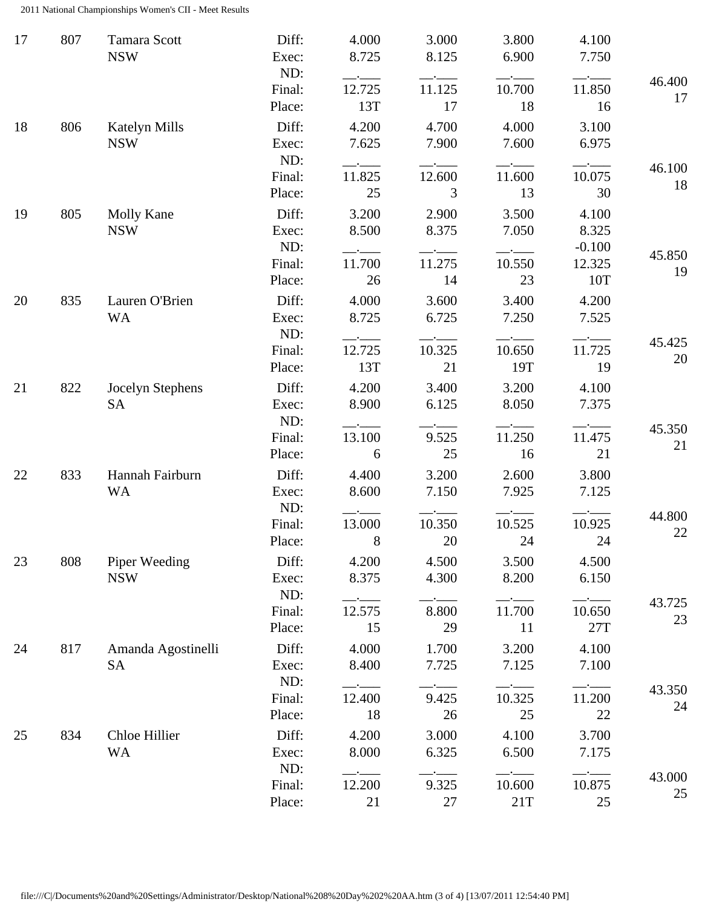2011 National Championships Women's CII - Meet Results

| 17 | 807 | <b>Tamara Scott</b><br><b>NSW</b>  | Diff:<br>Exec:<br>ND: | 4.000<br>8.725              | 3.000<br>8.125 | 3.800<br>6.900 | 4.100<br>7.750             |              |
|----|-----|------------------------------------|-----------------------|-----------------------------|----------------|----------------|----------------------------|--------------|
|    |     |                                    | Final:<br>Place:      | 12.725<br>13T               | 11.125<br>17   | 10.700<br>18   | 11.850<br>16               | 46.400<br>17 |
| 18 | 806 | <b>Katelyn Mills</b><br><b>NSW</b> | Diff:<br>Exec:<br>ND: | 4.200<br>7.625              | 4.700<br>7.900 | 4.000<br>7.600 | 3.100<br>6.975             |              |
|    |     |                                    | Final:<br>Place:      | $-$ - $-$ -<br>11.825<br>25 | 12.600<br>3    | 11.600<br>13   | 10.075<br>30               | 46.100<br>18 |
| 19 | 805 | Molly Kane<br><b>NSW</b>           | Diff:<br>Exec:<br>ND: | 3.200<br>8.500              | 2.900<br>8.375 | 3.500<br>7.050 | 4.100<br>8.325<br>$-0.100$ | 45.850       |
|    |     |                                    | Final:<br>Place:      | 11.700<br>26                | 11.275<br>14   | 10.550<br>23   | 12.325<br>10T              | 19           |
| 20 | 835 | Lauren O'Brien<br><b>WA</b>        | Diff:<br>Exec:<br>ND: | 4.000<br>8.725              | 3.600<br>6.725 | 3.400<br>7.250 | 4.200<br>7.525             |              |
|    |     |                                    | Final:<br>Place:      | 12.725<br>13T               | 10.325<br>21   | 10.650<br>19T  | 11.725<br>19               | 45.425<br>20 |
| 21 | 822 | Jocelyn Stephens<br><b>SA</b>      | Diff:<br>Exec:<br>ND: | 4.200<br>8.900              | 3.400<br>6.125 | 3.200<br>8.050 | 4.100<br>7.375             |              |
|    |     |                                    | Final:<br>Place:      | 13.100<br>6                 | 9.525<br>25    | 11.250<br>16   | 11.475<br>21               | 45.350<br>21 |
| 22 | 833 | Hannah Fairburn<br><b>WA</b>       | Diff:<br>Exec:<br>ND: | 4.400<br>8.600<br>$-$ - $-$ | 3.200<br>7.150 | 2.600<br>7.925 | 3.800<br>7.125             |              |
|    |     |                                    | Final:<br>Place:      | 13.000<br>8                 | 10.350<br>20   | 10.525<br>24   | 10.925<br>24               | 44.800<br>22 |
| 23 | 808 | Piper Weeding<br><b>NSW</b>        | Diff:<br>Exec:<br>ND: | 4.200<br>8.375<br>$ -$      | 4.500<br>4.300 | 3.500<br>8.200 | 4.500<br>6.150             |              |
|    |     |                                    | Final:<br>Place:      | 12.575<br>15                | 8.800<br>29    | 11.700<br>11   | 10.650<br>27T              | 43.725<br>23 |
| 24 | 817 | Amanda Agostinelli<br><b>SA</b>    | Diff:<br>Exec:<br>ND: | 4.000<br>8.400              | 1.700<br>7.725 | 3.200<br>7.125 | 4.100<br>7.100             |              |
|    |     |                                    | Final:<br>Place:      | 12.400<br>18                | 9.425<br>26    | 10.325<br>25   | 11.200<br>22               | 43.350<br>24 |
| 25 | 834 | Chloe Hillier<br><b>WA</b>         | Diff:<br>Exec:<br>ND: | 4.200<br>8.000              | 3.000<br>6.325 | 4.100<br>6.500 | 3.700<br>7.175             |              |
|    |     |                                    | Final:<br>Place:      | 12.200<br>21                | 9.325<br>27    | 10.600<br>21T  | 10.875<br>25               | 43.000<br>25 |